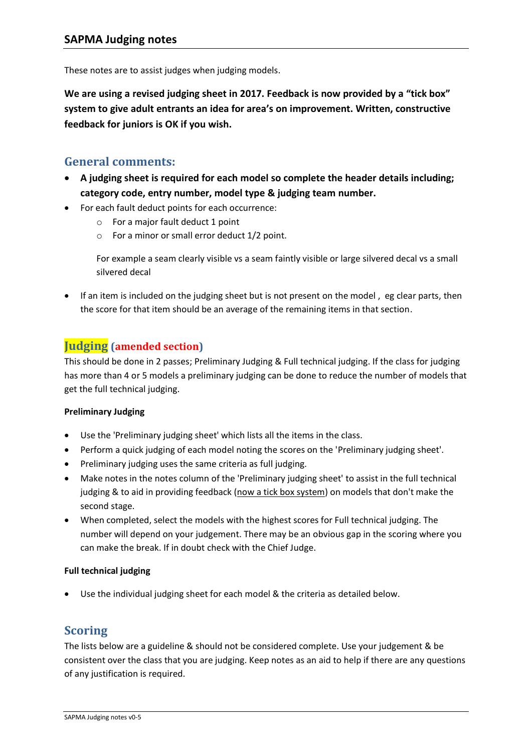These notes are to assist judges when judging models.

**We are using a revised judging sheet in 2017. Feedback is now provided by a "tick box" system to give adult entrants an idea for area's on improvement. Written, constructive feedback for juniors is OK if you wish.** 

### **General comments:**

- **A judging sheet is required for each model so complete the header details including; category code, entry number, model type & judging team number.**
- For each fault deduct points for each occurrence:
	- $\circ$  For a major fault deduct 1 point
	- $\circ$  For a minor or small error deduct 1/2 point.

For example a seam clearly visible vs a seam faintly visible or large silvered decal vs a small silvered decal

• If an item is included on the judging sheet but is not present on the model, eg clear parts, then the score for that item should be an average of the remaining items in that section.

## **Judging (amended section)**

This should be done in 2 passes; Preliminary Judging & Full technical judging. If the class for judging has more than 4 or 5 models a preliminary judging can be done to reduce the number of models that get the full technical judging.

#### **Preliminary Judging**

- Use the 'Preliminary judging sheet' which lists all the items in the class.
- Perform a quick judging of each model noting the scores on the 'Preliminary judging sheet'.
- Preliminary judging uses the same criteria as full judging.
- Make notes in the notes column of the 'Preliminary judging sheet' to assist in the full technical judging & to aid in providing feedback (now a tick box system) on models that don't make the second stage.
- When completed, select the models with the highest scores for Full technical judging. The number will depend on your judgement. There may be an obvious gap in the scoring where you can make the break. If in doubt check with the Chief Judge.

#### **Full technical judging**

Use the individual judging sheet for each model & the criteria as detailed below.

### **Scoring**

The lists below are a guideline & should not be considered complete. Use your judgement & be consistent over the class that you are judging. Keep notes as an aid to help if there are any questions of any justification is required.